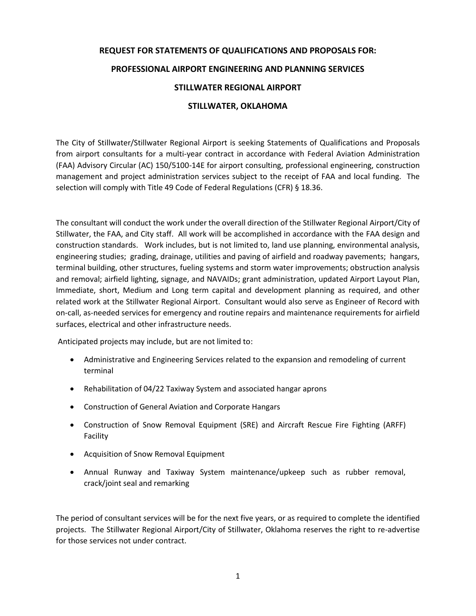## **REQUEST FOR STATEMENTS OF QUALIFICATIONS AND PROPOSALS FOR:**

## **PROFESSIONAL AIRPORT ENGINEERING AND PLANNING SERVICES**

## **STILLWATER REGIONAL AIRPORT**

## **STILLWATER, OKLAHOMA**

The City of Stillwater/Stillwater Regional Airport is seeking Statements of Qualifications and Proposals from airport consultants for a multi-year contract in accordance with Federal Aviation Administration (FAA) Advisory Circular (AC) 150/5100-14E for airport consulting, professional engineering, construction management and project administration services subject to the receipt of FAA and local funding. The selection will comply with Title 49 Code of Federal Regulations (CFR) § 18.36.

The consultant will conduct the work under the overall direction of the Stillwater Regional Airport/City of Stillwater, the FAA, and City staff. All work will be accomplished in accordance with the FAA design and construction standards. Work includes, but is not limited to, land use planning, environmental analysis, engineering studies; grading, drainage, utilities and paving of airfield and roadway pavements; hangars, terminal building, other structures, fueling systems and storm water improvements; obstruction analysis and removal; airfield lighting, signage, and NAVAIDs; grant administration, updated Airport Layout Plan, Immediate, short, Medium and Long term capital and development planning as required, and other related work at the Stillwater Regional Airport. Consultant would also serve as Engineer of Record with on-call, as-needed services for emergency and routine repairs and maintenance requirements for airfield surfaces, electrical and other infrastructure needs.

Anticipated projects may include, but are not limited to:

- Administrative and Engineering Services related to the expansion and remodeling of current terminal
- Rehabilitation of 04/22 Taxiway System and associated hangar aprons
- Construction of General Aviation and Corporate Hangars
- Construction of Snow Removal Equipment (SRE) and Aircraft Rescue Fire Fighting (ARFF) Facility
- Acquisition of Snow Removal Equipment
- Annual Runway and Taxiway System maintenance/upkeep such as rubber removal, crack/joint seal and remarking

The period of consultant services will be for the next five years, or as required to complete the identified projects. The Stillwater Regional Airport/City of Stillwater, Oklahoma reserves the right to re-advertise for those services not under contract.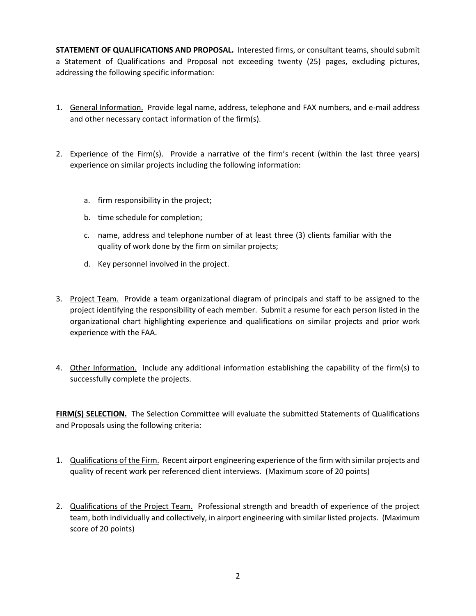**STATEMENT OF QUALIFICATIONS AND PROPOSAL.** Interested firms, or consultant teams, should submit a Statement of Qualifications and Proposal not exceeding twenty (25) pages, excluding pictures, addressing the following specific information:

- 1. General Information. Provide legal name, address, telephone and FAX numbers, and e-mail address and other necessary contact information of the firm(s).
- 2. Experience of the Firm(s). Provide a narrative of the firm's recent (within the last three years) experience on similar projects including the following information:
	- a. firm responsibility in the project;
	- b. time schedule for completion;
	- c. name, address and telephone number of at least three (3) clients familiar with the quality of work done by the firm on similar projects;
	- d. Key personnel involved in the project.
- 3. Project Team. Provide a team organizational diagram of principals and staff to be assigned to the project identifying the responsibility of each member. Submit a resume for each person listed in the organizational chart highlighting experience and qualifications on similar projects and prior work experience with the FAA.
- 4. Other Information. Include any additional information establishing the capability of the firm(s) to successfully complete the projects.

**FIRM(S) SELECTION.** The Selection Committee will evaluate the submitted Statements of Qualifications and Proposals using the following criteria:

- 1. Qualifications of the Firm. Recent airport engineering experience of the firm with similar projects and quality of recent work per referenced client interviews. (Maximum score of 20 points)
- 2. Qualifications of the Project Team. Professional strength and breadth of experience of the project team, both individually and collectively, in airport engineering with similar listed projects. (Maximum score of 20 points)